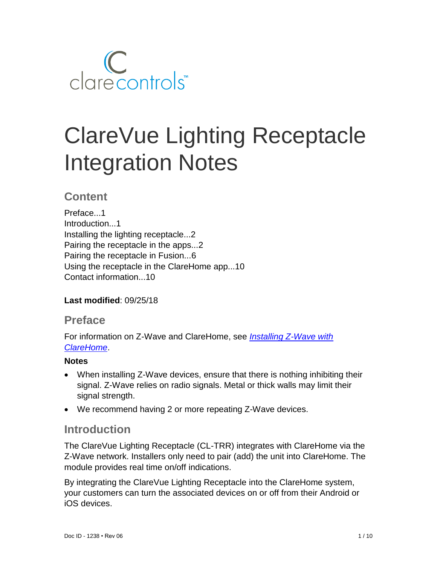

# ClareVue Lighting Receptacle Integration Notes

## **Content**

Preface...1 Introduction...1 Installing the lighting receptacle...2 Pairing the receptacle in the apps...2 Pairing the receptacle in Fusion...6 Using the receptacle in the ClareHome app...10 Contact information...10

#### **Last modified**: 09/25/18

#### **Preface**

For information on Z-Wave and ClareHome, see *[Installing Z-Wave with](https://www.clarecontrols.com/helpcenter/installing-z-wave-with-clarehome-tech-bulletin)  [ClareHome](https://www.clarecontrols.com/helpcenter/installing-z-wave-with-clarehome-tech-bulletin)*.

#### **Notes**

- When installing Z-Wave devices, ensure that there is nothing inhibiting their signal. Z-Wave relies on radio signals. Metal or thick walls may limit their signal strength.
- We recommend having 2 or more repeating Z-Wave devices.

## **Introduction**

The ClareVue Lighting Receptacle (CL-TRR) integrates with ClareHome via the Z-Wave network. Installers only need to pair (add) the unit into ClareHome. The module provides real time on/off indications.

By integrating the ClareVue Lighting Receptacle into the ClareHome system, your customers can turn the associated devices on or off from their Android or iOS devices.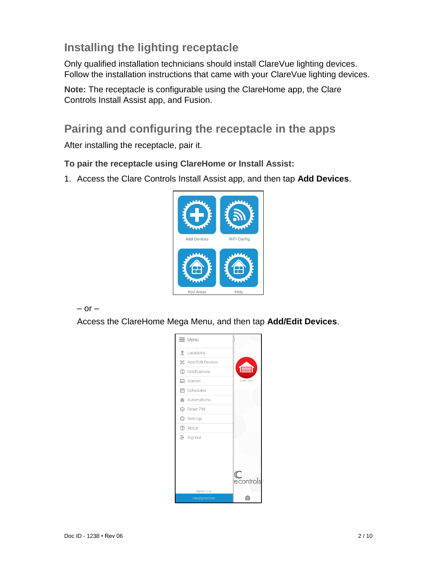# **Installing the lighting receptacle**

Only qualified installation technicians should install ClareVue lighting devices. Follow the installation instructions that came with your ClareVue lighting devices.

**Note:** The receptacle is configurable using the ClareHome app, the Clare Controls Install Assist app, and Fusion.

## **Pairing and configuring the receptacle in the apps**

After installing the receptacle, pair it.

#### **To pair the receptacle using ClareHome or Install Assist:**

1. Access the Clare Controls Install Assist app, and then tap **Add Devices**.



 $-$  or  $-$ 

Access the ClareHome Mega Menu, and then tap **Add/Edit Devices**.

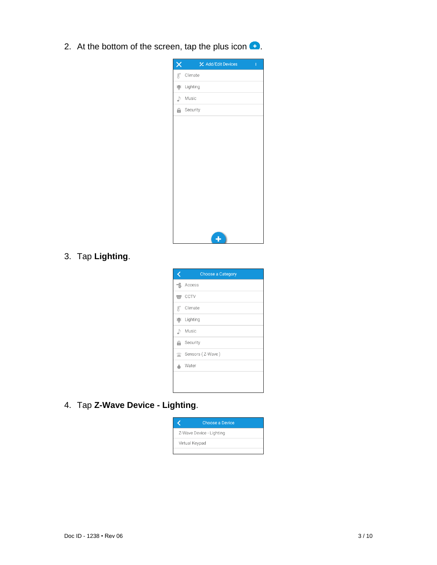2. At the bottom of the screen, tap the plus icon  $\bullet$ .

| X                | <b>½</b> Add/Edit Devices<br>ŧ |
|------------------|--------------------------------|
| $\text{B}^\circ$ | Climate                        |
| $\mathbf{p}$     | Lighting                       |
| ♪                | Music                          |
| Θ.               | Security                       |
|                  |                                |
|                  |                                |
|                  |                                |
|                  |                                |
|                  |                                |
|                  |                                |
|                  |                                |
|                  |                                |
|                  |                                |
|                  |                                |
|                  | Ł                              |

## 3. Tap **Lighting**.

|                          | <b>Choose a Category</b> |
|--------------------------|--------------------------|
| - 금.                     | Access                   |
| $\overline{\phantom{a}}$ | CCTV                     |
| $\mathbf{R}^{\circ}$     | Climate                  |
| 滑                        | Lighting                 |
| $\Box$                   | Music                    |
| θ.                       | Security                 |
|                          | Sensors (Z-Wave)         |
|                          | Water                    |
|                          |                          |
|                          |                          |

4. Tap **Z-Wave Device - Lighting**.

| <b>Choose a Device</b>   |
|--------------------------|
| Z-Wave Device - Lighting |
| Virtual Keypad           |
|                          |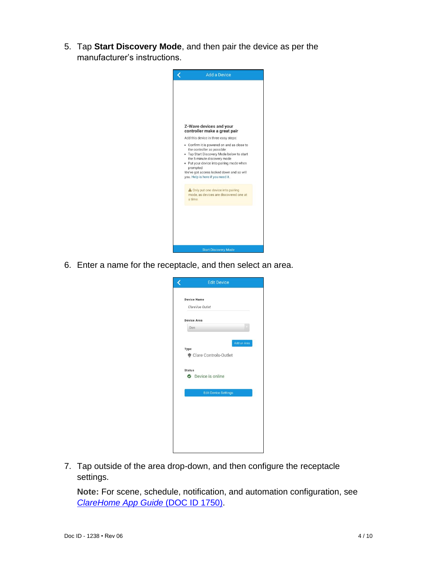5. Tap **Start Discovery Mode**, and then pair the device as per the manufacturer's instructions.



6. Enter a name for the receptacle, and then select an area.

| ClareVue Outlet<br><b>Device Area</b><br>Den<br>Add an Area<br>Type<br>Clare Controls-Outlet<br><b>Status</b><br><b>O</b> Device is online | <b>Edit Device Settings</b> | <b>Device Name</b> |  |
|--------------------------------------------------------------------------------------------------------------------------------------------|-----------------------------|--------------------|--|
|                                                                                                                                            |                             |                    |  |
|                                                                                                                                            |                             |                    |  |
|                                                                                                                                            |                             |                    |  |
|                                                                                                                                            |                             |                    |  |
|                                                                                                                                            |                             |                    |  |
|                                                                                                                                            |                             |                    |  |
|                                                                                                                                            |                             |                    |  |

7. Tap outside of the area drop-down, and then configure the receptacle settings.

**Note:** For scene, schedule, notification, and automation configuration, see *[ClareHome App Guide](https://knowledgebaseclarecontrols.atlassian.net/wiki/spaces/CA/pages/421265410/ClareHome+App+Guide)* (DOC ID 1750).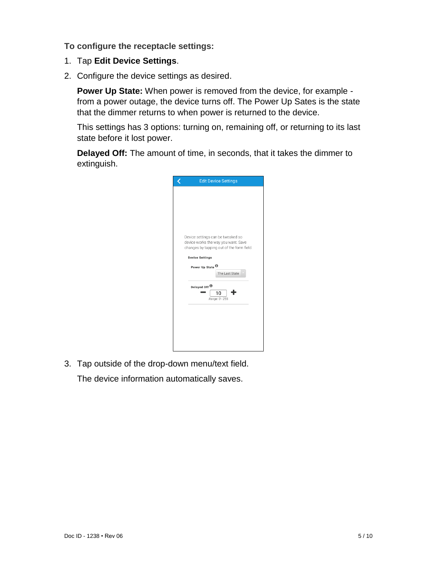**To configure the receptacle settings:** 

- 1. Tap **Edit Device Settings**.
- 2. Configure the device settings as desired.

**Power Up State:** When power is removed from the device, for example from a power outage, the device turns off. The Power Up Sates is the state that the dimmer returns to when power is returned to the device.

This settings has 3 options: turning on, remaining off, or returning to its last state before it lost power.

**Delayed Off:** The amount of time, in seconds, that it takes the dimmer to extinguish.



3. Tap outside of the drop-down menu/text field.

The device information automatically saves.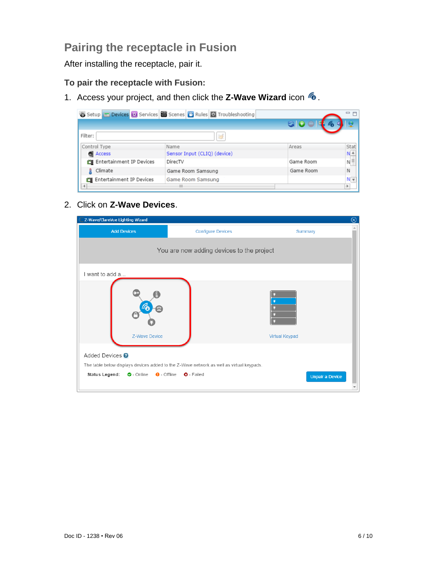# **Pairing the receptacle in Fusion**

After installing the receptacle, pair it.

#### **To pair the receptacle with Fusion:**

1. Access your project, and then click the **Z-Wave Wizard** icon **6**.

|                          | Setup Devices <b>&amp;</b> Services Secenes <b>&amp;</b> Rules <b>&amp;</b> Troubleshooting |           | - 日               |
|--------------------------|---------------------------------------------------------------------------------------------|-----------|-------------------|
|                          |                                                                                             |           |                   |
| Filter:                  | X.                                                                                          |           |                   |
| Control Type             | Name                                                                                        | Areas     | Stat              |
| <b>Access</b>            | Sensor Input (CLIQ) (device)                                                                |           | $N^{\frac{A}{A}}$ |
| Entertainment IP Devices | DirecTV                                                                                     | Game Room | $N \equiv$        |
| Climate                  | Game Room Samsung                                                                           | Game Room | N                 |
| Entertainment IP Devices | Game Room Samsung                                                                           |           | N                 |
|                          | Ш                                                                                           |           |                   |

#### 2. Click on **Z-Wave Devices**.

| Z-Wave/ClareVue Lighting Wizard             |                                                                                          |                        | ⊗ |
|---------------------------------------------|------------------------------------------------------------------------------------------|------------------------|---|
| <b>Add Devices</b>                          | <b>Configure Devices</b>                                                                 | Summary                |   |
|                                             | You are now adding devices to the project                                                |                        |   |
| I want to add a                             |                                                                                          |                        |   |
| Z-Wave Device                               |                                                                                          | <b>Virtual Keypad</b>  |   |
| Added Devices <sup>@</sup>                  | The table below displays devices added to the Z-Wave network as well as virtual keypads. |                        |   |
| <b>Status Legend:</b><br>$\bullet$ - Online | <b>Q</b> - Offline <b>Q</b> - Failed                                                     | <b>Unpair a Device</b> |   |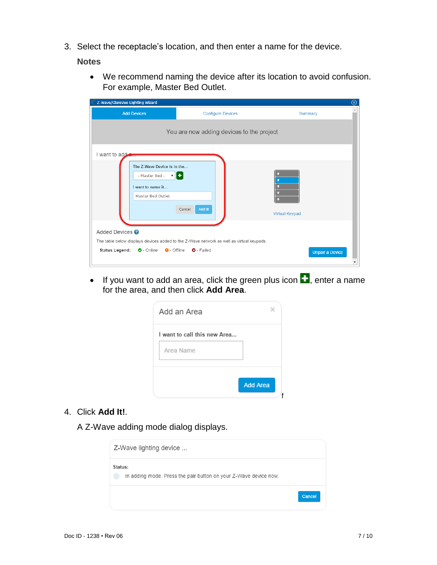3. Select the receptacle's location, and then enter a name for the device.

**Notes**

• We recommend naming the device after its location to avoid confusion. For example, Master Bed Outlet.

| Z-Wave/ClareVue Lighting Wizard                                                         |                                                                                          | ⊗                      |
|-----------------------------------------------------------------------------------------|------------------------------------------------------------------------------------------|------------------------|
| <b>Add Devices</b>                                                                      | <b>Configure Devices</b>                                                                 | Summary                |
|                                                                                         | You are now adding devices to the project                                                |                        |
| I want to add a                                                                         |                                                                                          |                        |
| The Z-Wave Device is in the<br>- Master Bed -<br>I want to name it<br>Master Bed Outlet | 회문<br>Add It!<br>Cancel                                                                  | <b>Virtual Keypad</b>  |
| Added Devices <sup>?</sup>                                                              |                                                                                          |                        |
| <b>Status Legend:</b><br>O-Online O-Offline O-Failed                                    | The table below displays devices added to the Z-Wave network as well as virtual keypads. | <b>Unpair a Device</b> |

• If you want to add an area, click the green plus icon  $\blacksquare$ , enter a name for the area, and then click **Add Area**.

| I want to call this new Area |  |
|------------------------------|--|
| Area Name                    |  |
|                              |  |

- 4. Click **Add It!**.
	- A Z-Wave adding mode dialog displays.

| Z-Wave lighting device                                                      |        |
|-----------------------------------------------------------------------------|--------|
| Status:<br>In adding mode. Press the pair button on your Z-Wave device now. |        |
|                                                                             | Cancel |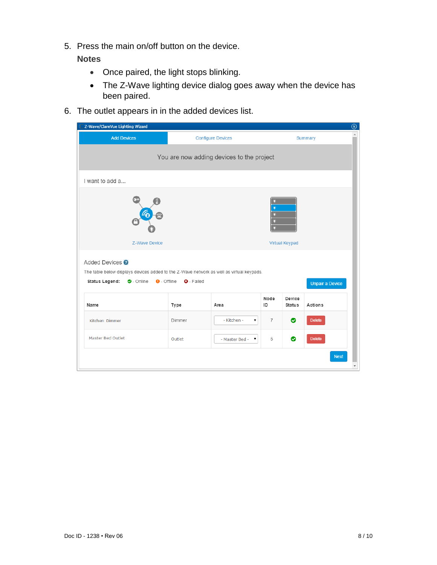5. Press the main on/off button on the device.

#### **Notes**

- Once paired, the light stops blinking.
- The Z-Wave lighting device dialog goes away when the device has been paired.
- 6. The outlet appears in in the added devices list.

| Z-Wave/ClareVue Lighting Wizard                                                                                                                                       |                                         |                                           |                |                         | $\circledcirc$                          |
|-----------------------------------------------------------------------------------------------------------------------------------------------------------------------|-----------------------------------------|-------------------------------------------|----------------|-------------------------|-----------------------------------------|
| <b>Add Devices</b>                                                                                                                                                    |                                         | <b>Configure Devices</b>                  |                |                         | Summary                                 |
|                                                                                                                                                                       |                                         | You are now adding devices to the project |                |                         |                                         |
| I want to add a                                                                                                                                                       |                                         |                                           |                |                         |                                         |
| (Po<br><b>Z-Wave Device</b>                                                                                                                                           |                                         |                                           |                | <b>Virtual Keypad</b>   |                                         |
| Added Devices <sup>?</sup><br>The table below displays devices added to the Z-Wave network as well as virtual keypads.<br><b>Status Legend:</b><br>$\bullet$ - Online | $\Theta$ - Offline<br><b>O</b> - Failed |                                           |                |                         | <b>Unpair a Device</b>                  |
| Name                                                                                                                                                                  | Type                                    | Area                                      | Node<br>ID     | Device<br><b>Status</b> | Actions                                 |
| Kitchen Dimmer                                                                                                                                                        | Dimmer                                  | - Kitchen -<br>٧.                         | $\overline{7}$ | ◙                       | <b>Delete</b>                           |
| Master Bed Outlet                                                                                                                                                     | Outlet                                  | - Master Bed -<br>۷.                      | 5              | ◙                       | <b>Delete</b>                           |
|                                                                                                                                                                       |                                         |                                           |                |                         | <b>Next</b><br>$\overline{\phantom{a}}$ |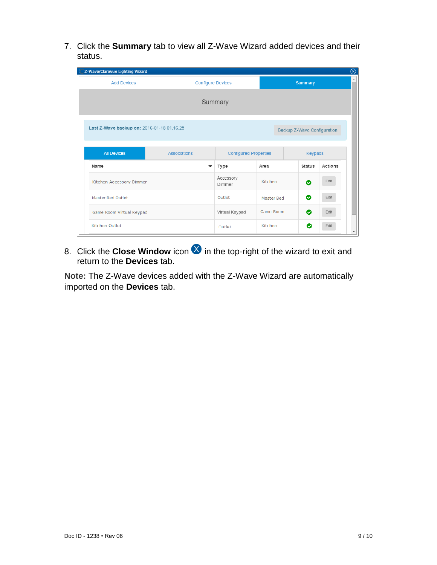7. Click the **Summary** tab to view all Z-Wave Wizard added devices and their status.

| Z-Wave/ClareVue Lighting Wizard            |                     |                              |            |                                    |         |
|--------------------------------------------|---------------------|------------------------------|------------|------------------------------------|---------|
| <b>Add Devices</b>                         |                     | <b>Configure Devices</b>     |            | <b>Summary</b>                     |         |
|                                            |                     | Summary                      |            |                                    |         |
| Last Z-Wave backup on: 2016-01-18 01:16:25 |                     |                              |            | <b>Backup Z-Wave Configuration</b> |         |
| <b>All Devices</b>                         | <b>Associations</b> | <b>Configured Properties</b> |            | <b>Keypads</b>                     |         |
| Name                                       | ▼                   | Type                         | Area       | <b>Status</b>                      | Actions |
| Kitchen Accessory Dimmer                   |                     | Accessory<br>Dimmer          | Kitchen    | ◉                                  | Edit    |
| Master Bed Outlet                          |                     | Outlet                       | Master Bed | ◉                                  | Edit    |
| Game Room Virtual Keypad                   |                     | Virtual Keypad               | Game Room  | ◉                                  | Edit    |
|                                            |                     |                              |            |                                    |         |

8. Click the **Close Window** icon **X** in the top-right of the wizard to exit and return to the **Devices** tab.

**Note:** The Z-Wave devices added with the Z-Wave Wizard are automatically imported on the **Devices** tab.